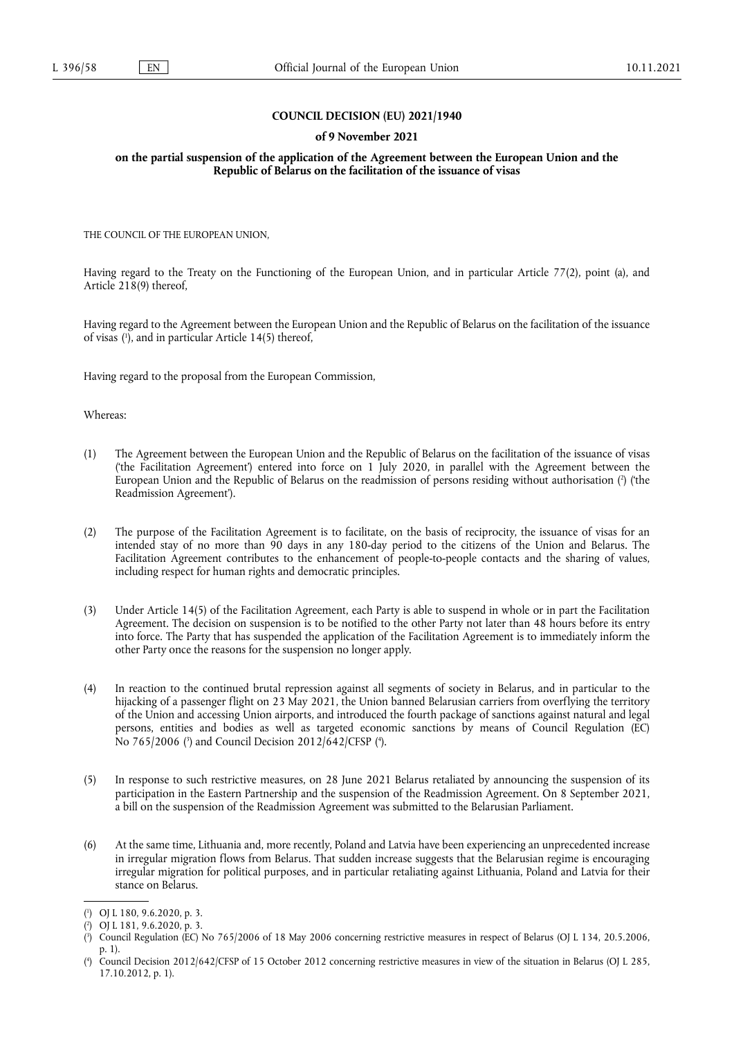### **COUNCIL DECISION (EU) 2021/1940**

### **of 9 November 2021**

**on the partial suspension of the application of the Agreement between the European Union and the Republic of Belarus on the facilitation of the issuance of visas** 

THE COUNCIL OF THE EUROPEAN UNION,

Having regard to the Treaty on the Functioning of the European Union, and in particular Article 77(2), point (a), and Article 218(9) thereof,

<span id="page-0-4"></span>Having regard to the Agreement between the European Union and the Republic of Belarus on the facilitation of the issuance of visas [\(](#page-0-0) 1 ), and in particular Article 14(5) thereof,

Having regard to the proposal from the European Commission,

Whereas:

- <span id="page-0-5"></span>(1) The Agreement between the European Union and the Republic of Belarus on the facilitation of the issuance of visas ('the Facilitation Agreement') entered into force on 1 July 2020, in parallel with the Agreement between the European Union and the Republic of Belarus on the readmission of persons residing without authorisation [\(](#page-0-1) 2 ) ('the Readmission Agreement').
- (2) The purpose of the Facilitation Agreement is to facilitate, on the basis of reciprocity, the issuance of visas for an intended stay of no more than 90 days in any 180-day period to the citizens of the Union and Belarus. The Facilitation Agreement contributes to the enhancement of people-to-people contacts and the sharing of values, including respect for human rights and democratic principles.
- (3) Under Article 14(5) of the Facilitation Agreement, each Party is able to suspend in whole or in part the Facilitation Agreement. The decision on suspension is to be notified to the other Party not later than 48 hours before its entry into force. The Party that has suspended the application of the Facilitation Agreement is to immediately inform the other Party once the reasons for the suspension no longer apply.
- (4) In reaction to the continued brutal repression against all segments of society in Belarus, and in particular to the hijacking of a passenger flight on 23 May 2021, the Union banned Belarusian carriers from overflying the territory of the Union and accessing Union airports, and introduced the fourth package of sanctions against natural and legal persons, entities and bodies as well as targeted economic sanctions by means of Council Regulation (EC) No 765/2006 [\(](#page-0-2)3) and Council Decision 2012/642/CFSP (4[\).](#page-0-3)
- <span id="page-0-6"></span>(5) In response to such restrictive measures, on 28 June 2021 Belarus retaliated by announcing the suspension of its participation in the Eastern Partnership and the suspension of the Readmission Agreement. On 8 September 2021, a bill on the suspension of the Readmission Agreement was submitted to the Belarusian Parliament.
- (6) At the same time, Lithuania and, more recently, Poland and Latvia have been experiencing an unprecedented increase in irregular migration flows from Belarus. That sudden increase suggests that the Belarusian regime is encouraging irregular migration for political purposes, and in particular retaliating against Lithuania, Poland and Latvia for their stance on Belarus.

<span id="page-0-0"></span>[<sup>\(</sup>](#page-0-4) 1 ) OJ L 180, 9.6.2020, p. 3.

<span id="page-0-1"></span>[<sup>\(</sup>](#page-0-5) 2 ) OJ L 181, 9.6.2020, p. 3.

<span id="page-0-2"></span>[<sup>\(</sup>](#page-0-6) 3 ) Council Regulation (EC) No 765/2006 of 18 May 2006 concerning restrictive measures in respect of Belarus (OJ L 134, 20.5.2006, p. 1).

<span id="page-0-3"></span>[<sup>\(</sup>](#page-0-6) 4 ) Council Decision 2012/642/CFSP of 15 October 2012 concerning restrictive measures in view of the situation in Belarus (OJ L 285, 17.10.2012, p. 1).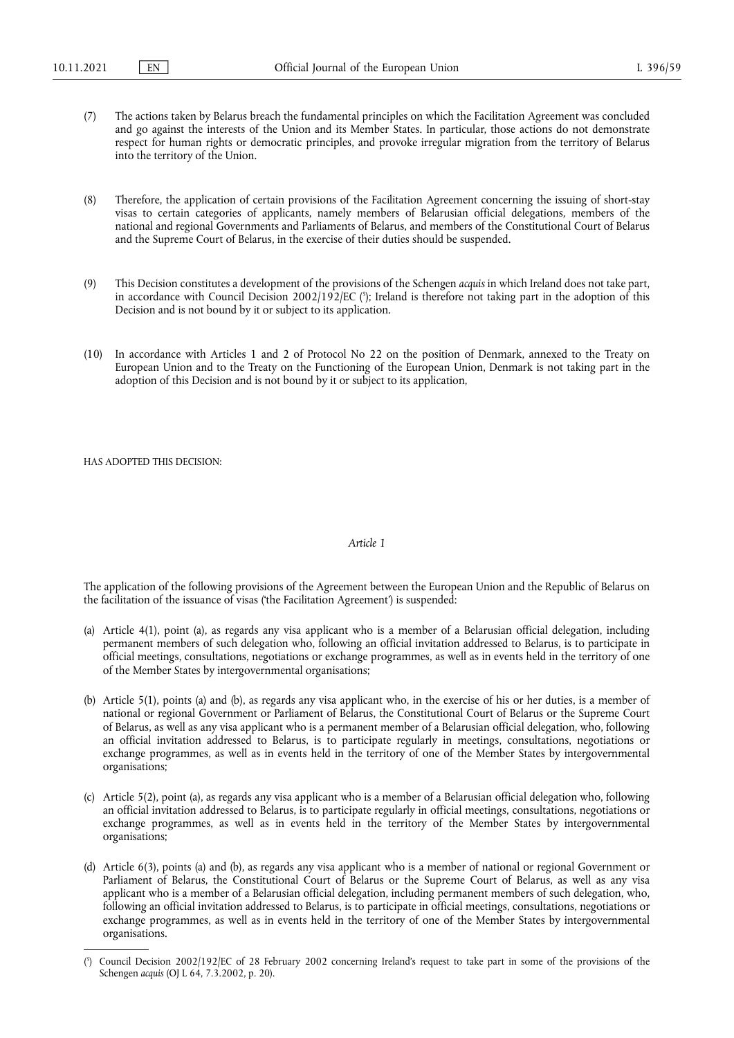- (7) The actions taken by Belarus breach the fundamental principles on which the Facilitation Agreement was concluded and go against the interests of the Union and its Member States. In particular, those actions do not demonstrate respect for human rights or democratic principles, and provoke irregular migration from the territory of Belarus into the territory of the Union.
- (8) Therefore, the application of certain provisions of the Facilitation Agreement concerning the issuing of short-stay visas to certain categories of applicants, namely members of Belarusian official delegations, members of the national and regional Governments and Parliaments of Belarus, and members of the Constitutional Court of Belarus and the Supreme Court of Belarus, in the exercise of their duties should be suspended.
- <span id="page-1-1"></span>(9) This Decision constitutes a development of the provisions of the Schengen *acquis* in which Ireland does not take part, in accordance with Council Decision 2002/192/EC [\(](#page-1-0) 5 ); Ireland is therefore not taking part in the adoption of this Decision and is not bound by it or subject to its application.
- (10) In accordance with Articles 1 and 2 of Protocol No 22 on the position of Denmark, annexed to the Treaty on European Union and to the Treaty on the Functioning of the European Union, Denmark is not taking part in the adoption of this Decision and is not bound by it or subject to its application,

HAS ADOPTED THIS DECISION:

#### *Article 1*

The application of the following provisions of the Agreement between the European Union and the Republic of Belarus on the facilitation of the issuance of visas ('the Facilitation Agreement') is suspended:

- (a) Article 4(1), point (a), as regards any visa applicant who is a member of a Belarusian official delegation, including permanent members of such delegation who, following an official invitation addressed to Belarus, is to participate in official meetings, consultations, negotiations or exchange programmes, as well as in events held in the territory of one of the Member States by intergovernmental organisations;
- (b) Article 5(1), points (a) and (b), as regards any visa applicant who, in the exercise of his or her duties, is a member of national or regional Government or Parliament of Belarus, the Constitutional Court of Belarus or the Supreme Court of Belarus, as well as any visa applicant who is a permanent member of a Belarusian official delegation, who, following an official invitation addressed to Belarus, is to participate regularly in meetings, consultations, negotiations or exchange programmes, as well as in events held in the territory of one of the Member States by intergovernmental organisations;
- (c) Article 5(2), point (a), as regards any visa applicant who is a member of a Belarusian official delegation who, following an official invitation addressed to Belarus, is to participate regularly in official meetings, consultations, negotiations or exchange programmes, as well as in events held in the territory of the Member States by intergovernmental organisations;
- (d) Article 6(3), points (a) and (b), as regards any visa applicant who is a member of national or regional Government or Parliament of Belarus, the Constitutional Court of Belarus or the Supreme Court of Belarus, as well as any visa applicant who is a member of a Belarusian official delegation, including permanent members of such delegation, who, following an official invitation addressed to Belarus, is to participate in official meetings, consultations, negotiations or exchange programmes, as well as in events held in the territory of one of the Member States by intergovernmental organisations.

<span id="page-1-0"></span>[<sup>\(</sup>](#page-1-1) 5 ) Council Decision 2002/192/EC of 28 February 2002 concerning Ireland's request to take part in some of the provisions of the Schengen *acquis* (OJ L 64, 7.3.2002, p. 20).